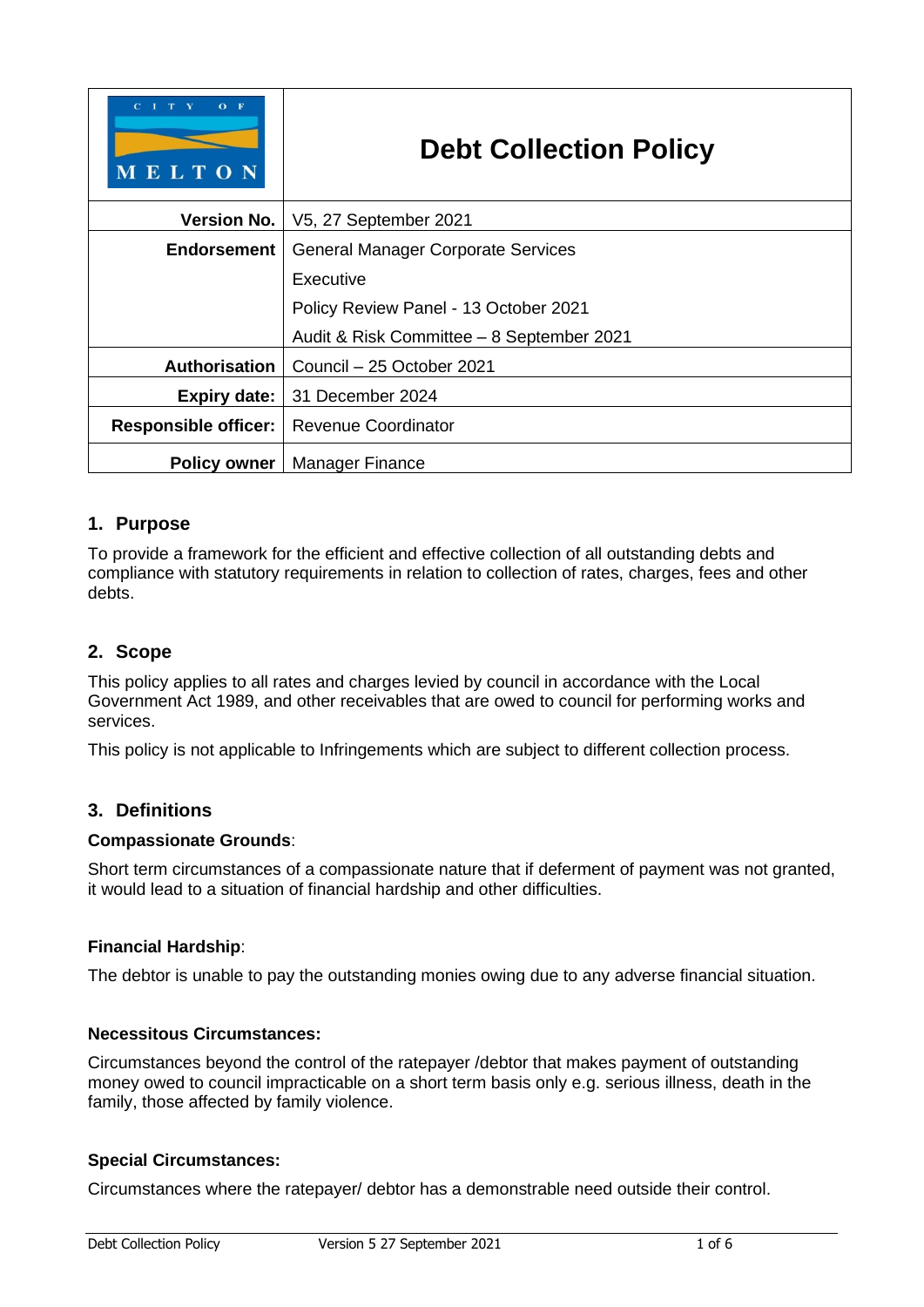| $C$ $I$ $T$ $Y$<br>$O$ F<br>MELTON | <b>Debt Collection Policy</b>             |
|------------------------------------|-------------------------------------------|
| <b>Version No.</b>                 | V5, 27 September 2021                     |
| <b>Endorsement</b>                 | <b>General Manager Corporate Services</b> |
|                                    | Executive                                 |
|                                    | Policy Review Panel - 13 October 2021     |
|                                    | Audit & Risk Committee - 8 September 2021 |
| Authorisation                      | Council - 25 October 2021                 |
| <b>Expiry date:</b>                | 31 December 2024                          |
| <b>Responsible officer:</b>        | <b>Revenue Coordinator</b>                |
| <b>Policy owner</b>                | Manager Finance                           |

## **1. Purpose**

To provide a framework for the efficient and effective collection of all outstanding debts and compliance with statutory requirements in relation to collection of rates, charges, fees and other debts.

# **2. Scope**

This policy applies to all rates and charges levied by council in accordance with the Local Government Act 1989, and other receivables that are owed to council for performing works and services.

This policy is not applicable to Infringements which are subject to different collection process.

# **3. Definitions**

#### **Compassionate Grounds**:

Short term circumstances of a compassionate nature that if deferment of payment was not granted, it would lead to a situation of financial hardship and other difficulties.

## **Financial Hardship**:

The debtor is unable to pay the outstanding monies owing due to any adverse financial situation.

#### **Necessitous Circumstances:**

Circumstances beyond the control of the ratepayer /debtor that makes payment of outstanding money owed to council impracticable on a short term basis only e.g. serious illness, death in the family, those affected by family violence.

#### **Special Circumstances:**

Circumstances where the ratepayer/ debtor has a demonstrable need outside their control.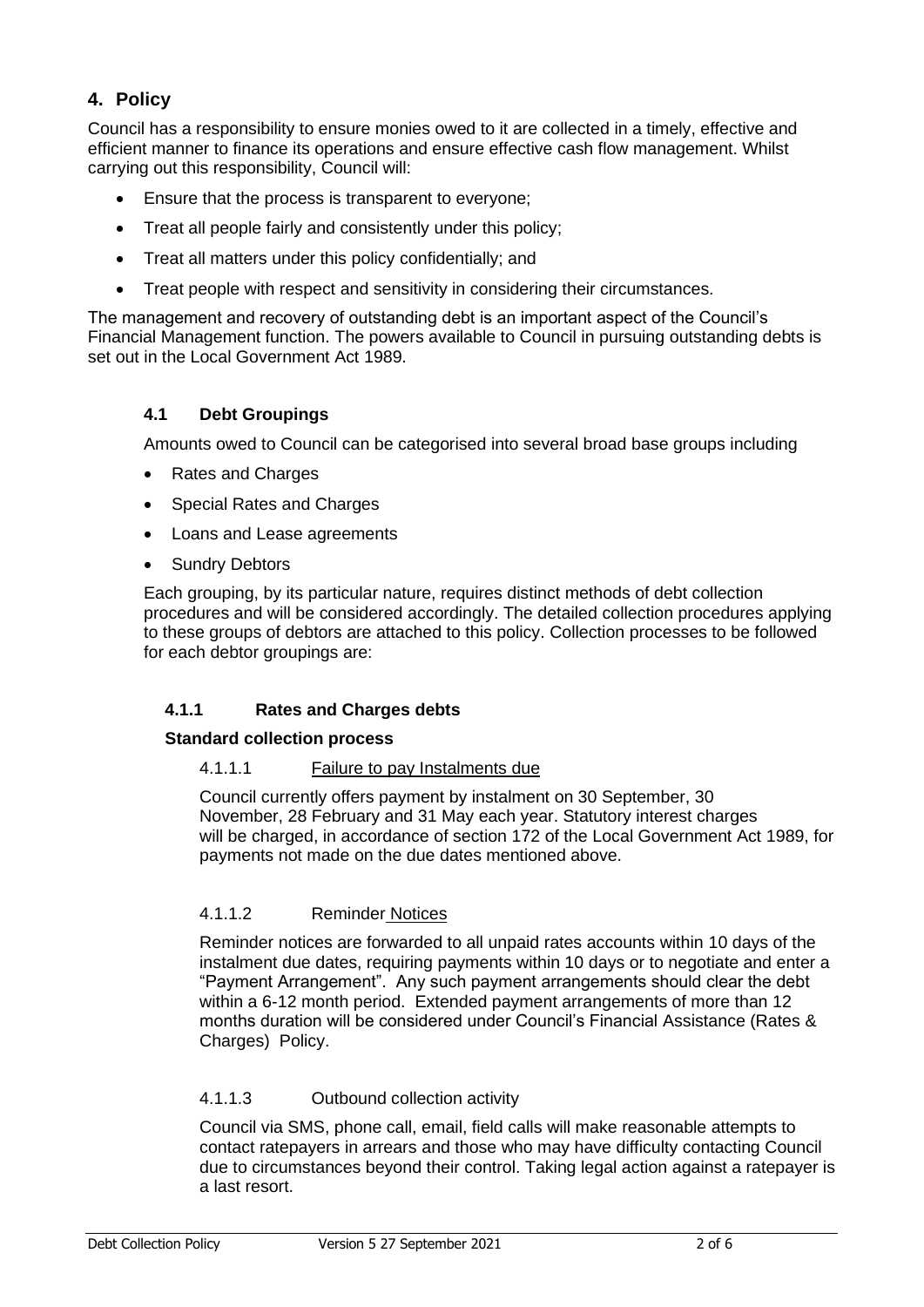# **4. Policy**

Council has a responsibility to ensure monies owed to it are collected in a timely, effective and efficient manner to finance its operations and ensure effective cash flow management. Whilst carrying out this responsibility, Council will:

- Ensure that the process is transparent to everyone;
- Treat all people fairly and consistently under this policy;
- Treat all matters under this policy confidentially; and
- Treat people with respect and sensitivity in considering their circumstances.

The management and recovery of outstanding debt is an important aspect of the Council's Financial Management function. The powers available to Council in pursuing outstanding debts is set out in the Local Government Act 1989.

### **4.1 Debt Groupings**

Amounts owed to Council can be categorised into several broad base groups including

- Rates and Charges
- Special Rates and Charges
- Loans and Lease agreements
- Sundry Debtors

Each grouping, by its particular nature, requires distinct methods of debt collection procedures and will be considered accordingly. The detailed collection procedures applying to these groups of debtors are attached to this policy. Collection processes to be followed for each debtor groupings are:

#### **4.1.1 Rates and Charges debts**

#### **Standard collection process**

#### 4.1.1.1 Failure to pay Instalments due

Council currently offers payment by instalment on 30 September, 30 November, 28 February and 31 May each year. Statutory interest charges will be charged, in accordance of section 172 of the Local Government Act 1989, for payments not made on the due dates mentioned above.

#### 4.1.1.2 Reminder Notices

Reminder notices are forwarded to all unpaid rates accounts within 10 days of the instalment due dates, requiring payments within 10 days or to negotiate and enter a "Payment Arrangement". Any such payment arrangements should clear the debt within a 6-12 month period. Extended payment arrangements of more than 12 months duration will be considered under Council's Financial Assistance (Rates & Charges) Policy.

#### 4.1.1.3 Outbound collection activity

Council via SMS, phone call, email, field calls will make reasonable attempts to contact ratepayers in arrears and those who may have difficulty contacting Council due to circumstances beyond their control. Taking legal action against a ratepayer is a last resort.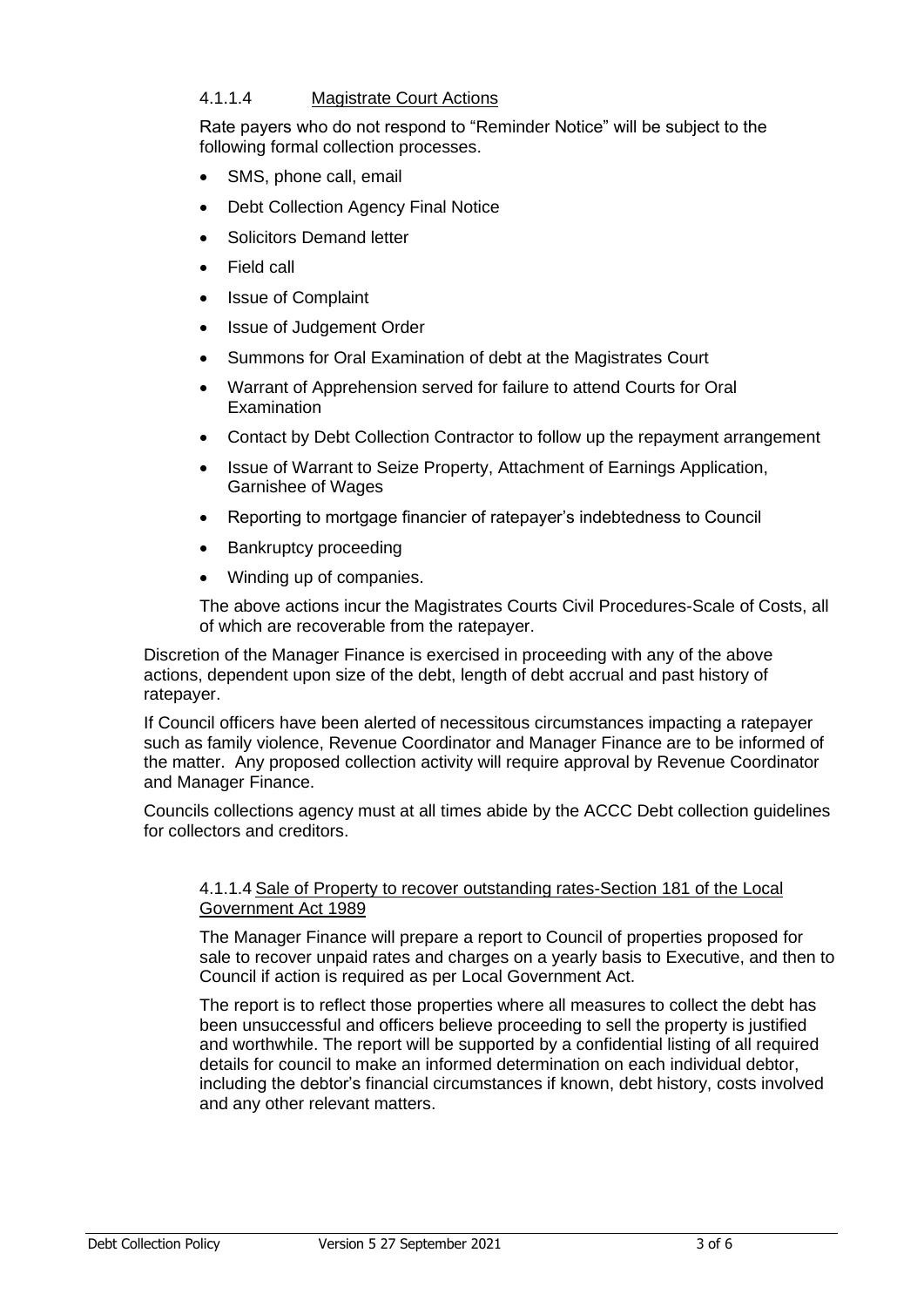### 4.1.1.4 Magistrate Court Actions

Rate payers who do not respond to "Reminder Notice" will be subject to the following formal collection processes.

- SMS, phone call, email
- Debt Collection Agency Final Notice
- Solicitors Demand letter
- Field call
- Issue of Complaint
- Issue of Judgement Order
- Summons for Oral Examination of debt at the Magistrates Court
- Warrant of Apprehension served for failure to attend Courts for Oral **Examination**
- Contact by Debt Collection Contractor to follow up the repayment arrangement
- Issue of Warrant to Seize Property, Attachment of Earnings Application, Garnishee of Wages
- Reporting to mortgage financier of ratepayer's indebtedness to Council
- Bankruptcy proceeding
- Winding up of companies.

The above actions incur the Magistrates Courts Civil Procedures-Scale of Costs, all of which are recoverable from the ratepayer.

Discretion of the Manager Finance is exercised in proceeding with any of the above actions, dependent upon size of the debt, length of debt accrual and past history of ratepayer.

If Council officers have been alerted of necessitous circumstances impacting a ratepayer such as family violence, Revenue Coordinator and Manager Finance are to be informed of the matter. Any proposed collection activity will require approval by Revenue Coordinator and Manager Finance.

Councils collections agency must at all times abide by the ACCC Debt collection guidelines for collectors and creditors.

#### 4.1.1.4 Sale of Property to recover outstanding rates-Section 181 of the Local Government Act 1989

The Manager Finance will prepare a report to Council of properties proposed for sale to recover unpaid rates and charges on a yearly basis to Executive, and then to Council if action is required as per Local Government Act.

The report is to reflect those properties where all measures to collect the debt has been unsuccessful and officers believe proceeding to sell the property is justified and worthwhile. The report will be supported by a confidential listing of all required details for council to make an informed determination on each individual debtor, including the debtor's financial circumstances if known, debt history, costs involved and any other relevant matters.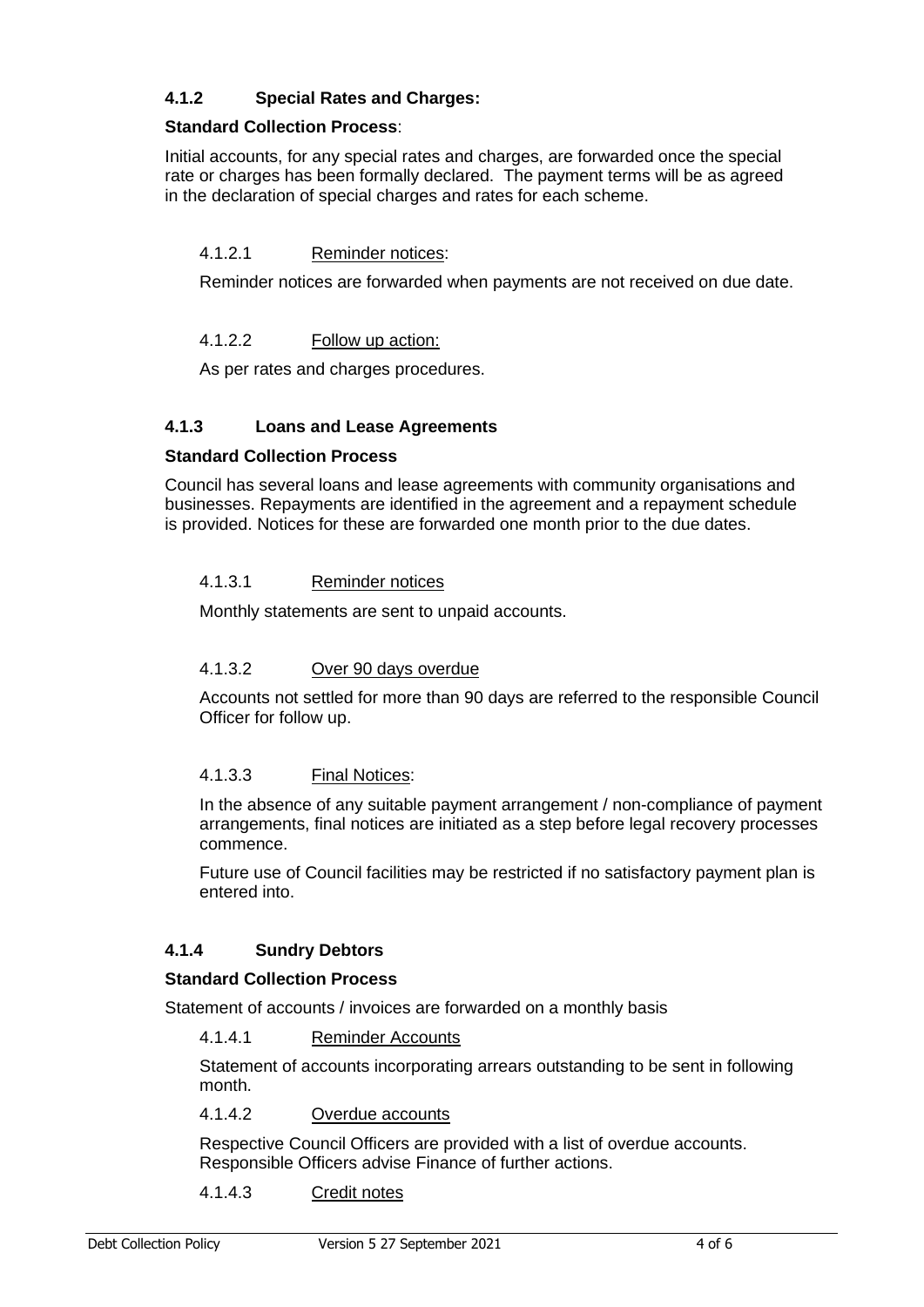## **4.1.2 Special Rates and Charges:**

#### **Standard Collection Process**:

Initial accounts, for any special rates and charges, are forwarded once the special rate or charges has been formally declared. The payment terms will be as agreed in the declaration of special charges and rates for each scheme.

#### 4.1.2.1 Reminder notices:

Reminder notices are forwarded when payments are not received on due date.

#### 4.1.2.2 Follow up action:

As per rates and charges procedures.

#### **4.1.3 Loans and Lease Agreements**

#### **Standard Collection Process**

Council has several loans and lease agreements with community organisations and businesses. Repayments are identified in the agreement and a repayment schedule is provided. Notices for these are forwarded one month prior to the due dates.

#### 4.1.3.1 Reminder notices

Monthly statements are sent to unpaid accounts.

#### 4.1.3.2 Over 90 days overdue

Accounts not settled for more than 90 days are referred to the responsible Council Officer for follow up.

### 4.1.3.3 Final Notices:

In the absence of any suitable payment arrangement / non-compliance of payment arrangements, final notices are initiated as a step before legal recovery processes commence.

Future use of Council facilities may be restricted if no satisfactory payment plan is entered into.

#### **4.1.4 Sundry Debtors**

### **Standard Collection Process**

Statement of accounts / invoices are forwarded on a monthly basis

4.1.4.1 Reminder Accounts

Statement of accounts incorporating arrears outstanding to be sent in following month.

#### 4.1.4.2 Overdue accounts

Respective Council Officers are provided with a list of overdue accounts. Responsible Officers advise Finance of further actions.

#### 4.1.4.3 Credit notes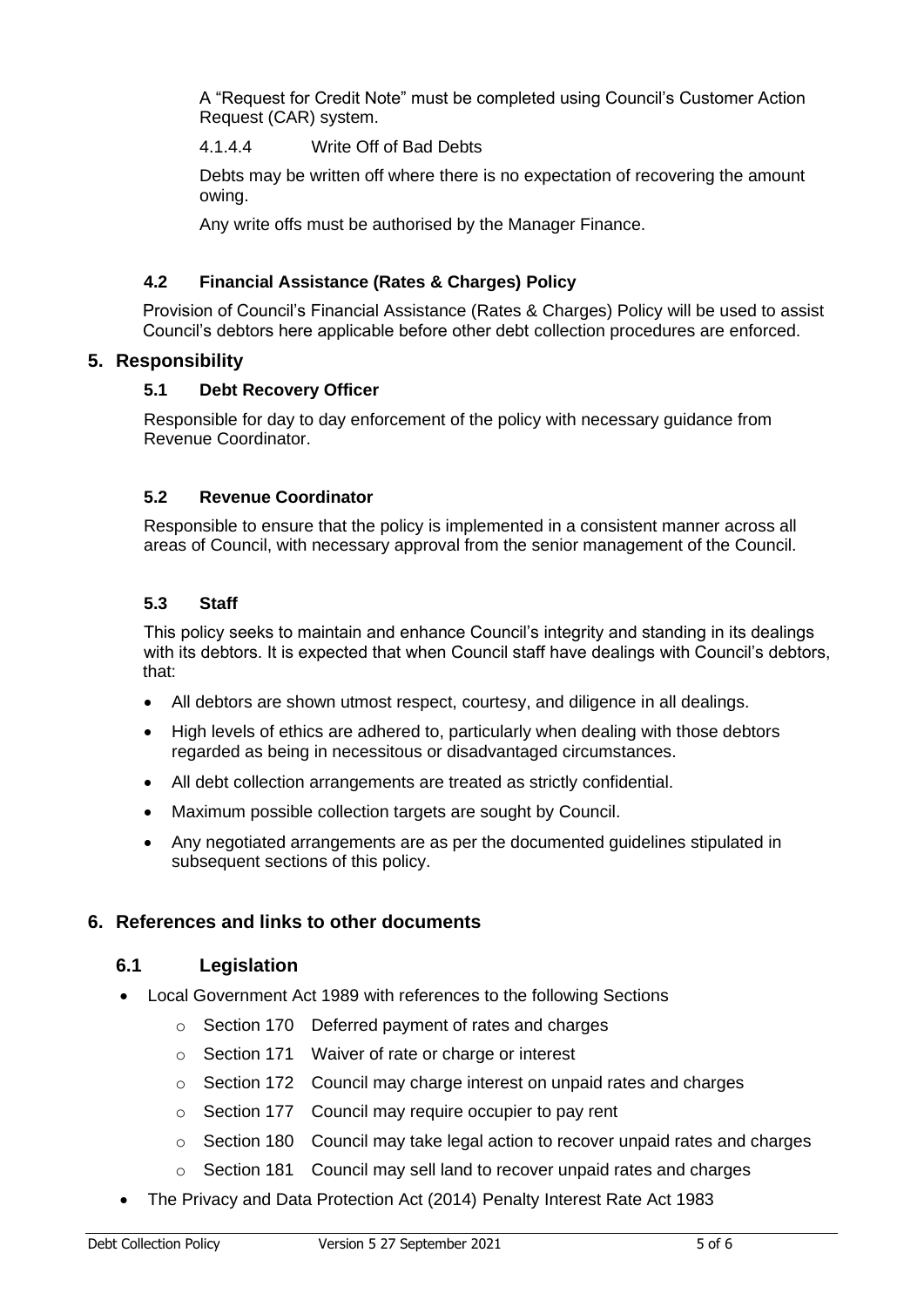A "Request for Credit Note" must be completed using Council's Customer Action Request (CAR) system.

4.1.4.4 Write Off of Bad Debts

Debts may be written off where there is no expectation of recovering the amount owing.

Any write offs must be authorised by the Manager Finance.

## **4.2 Financial Assistance (Rates & Charges) Policy**

Provision of Council's Financial Assistance (Rates & Charges) Policy will be used to assist Council's debtors here applicable before other debt collection procedures are enforced.

## **5. Responsibility**

### **5.1 Debt Recovery Officer**

Responsible for day to day enforcement of the policy with necessary guidance from Revenue Coordinator.

### **5.2 Revenue Coordinator**

Responsible to ensure that the policy is implemented in a consistent manner across all areas of Council, with necessary approval from the senior management of the Council.

#### **5.3 Staff**

This policy seeks to maintain and enhance Council's integrity and standing in its dealings with its debtors. It is expected that when Council staff have dealings with Council's debtors, that:

- All debtors are shown utmost respect, courtesy, and diligence in all dealings.
- High levels of ethics are adhered to, particularly when dealing with those debtors regarded as being in necessitous or disadvantaged circumstances.
- All debt collection arrangements are treated as strictly confidential.
- Maximum possible collection targets are sought by Council.
- Any negotiated arrangements are as per the documented guidelines stipulated in subsequent sections of this policy.

## **6. References and links to other documents**

## **6.1 Legislation**

- Local Government Act 1989 with references to the following Sections
	- o Section 170 Deferred payment of rates and charges
	- o Section 171 Waiver of rate or charge or interest
	- $\circ$  Section 172 Council may charge interest on unpaid rates and charges
	- o Section 177 Council may require occupier to pay rent
	- $\circ$  Section 180 Council may take legal action to recover unpaid rates and charges
	- $\circ$  Section 181 Council may sell land to recover unpaid rates and charges
- The Privacy and Data Protection Act (2014) Penalty Interest Rate Act 1983